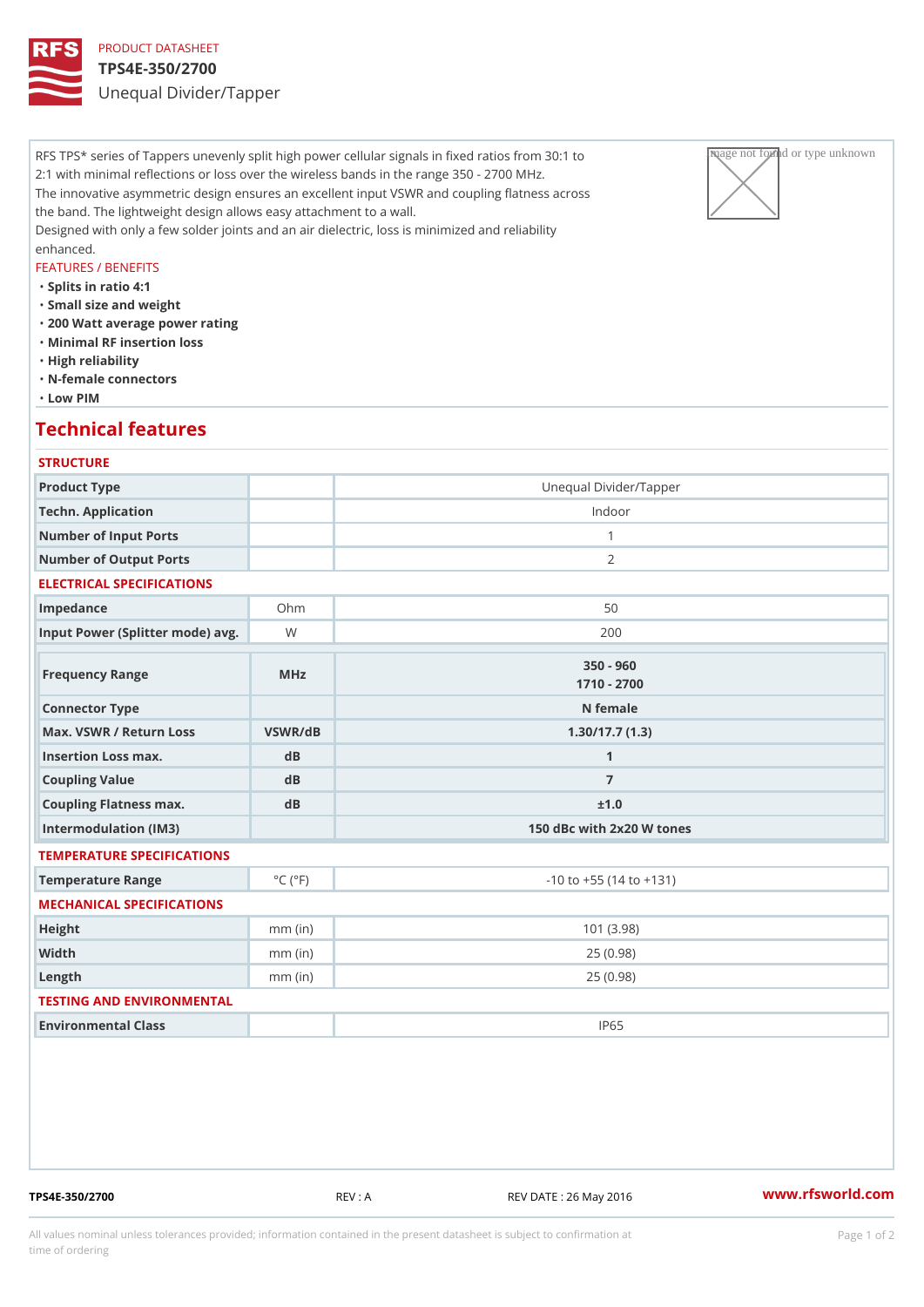## PRODUCT DATASHEET TPS4E-350/2700 Unequal Divider/Tapper

RFS TPS\* series of Tappers unevenly split high power cellular signals in fixeage pathaged privar unknown to 2:1 with minimal reflections or loss over the wireless bands in the range  $350 \times 2700$  MHz. The innovative asymmetric design ensures an excellent input VSWR and coupling flatness across the band. The lightweight design allows easy attachment to a wall. Designed with only a few solder joints and an air dielectric, loss is minimized and reliability enhanced.

### FEATURES / BENEFITS

"Splits in ratio 4:1

- "Small size and weight
- "200 Watt average power rating
- "Minimal RF insertion loss
- "High reliability
- "N-female connectors
- "Low PIM

### Technical features

| <b>STRUCTURE</b>                  |                             |                                |
|-----------------------------------|-----------------------------|--------------------------------|
| Product Type                      |                             | Unequal Divider/Tapper         |
| Techn. Application                |                             | Indoor                         |
| Number of Input Ports             |                             | $\mathbf{1}$                   |
| Number of Output Ports            |                             | 2                              |
| ELECTRICAL SPECIFICATIONS         |                             |                                |
| Impedance                         | $Oh$ m                      | 50                             |
| Input Power (Splitter mode) Wavg. |                             | 200                            |
| Frequency Range                   | MHz                         | $350 - 960$<br>1710 - 2700     |
| Connector Type                    |                             | N female                       |
| Max. VSWR / Return LossVSWR/dB    |                             | 1.30/17.7(1.3)                 |
| Insertion Loss max.               | dB                          | $\mathbf{1}$                   |
| Coupling Value                    | dB                          | $\overline{7}$                 |
| Coupling Flatness max.            | dB                          | ±1.0                           |
| Intermodulation (IM3)             |                             | 150 dBc with 2x20 W tones      |
| TEMPERATURE SPECIFICATIONS        |                             |                                |
| Temperature Range                 | $^{\circ}$ C ( $^{\circ}$ F | $-10$ to $+55$ (14 to $+131$ ) |
| MECHANICAL SPECIFICATIONS         |                             |                                |
| Height                            | $mm$ (in)                   | 101(3.98)                      |
| Width                             | $mm$ (in)                   | 25(0.98)                       |
| $L$ ength                         | $mm$ (in)                   | 25(0.98)                       |
| TESTING AND ENVIRONMENTAL         |                             |                                |
| Environmental Class               |                             | IP65                           |
|                                   |                             |                                |

TPS4E-350/2700 REV : A REV DATE : 26 May 2016 [www.](https://www.rfsworld.com)rfsworld.com

All values nominal unless tolerances provided; information contained in the present datasheet is subject to Pcapgeign manation time of ordering